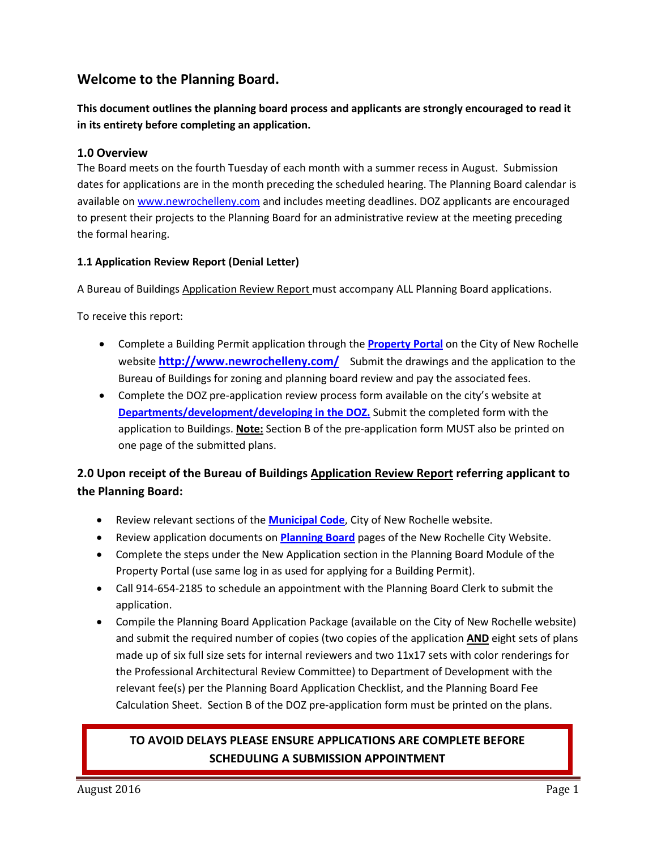# **Welcome to the Planning Board.**

**This document outlines the planning board process and applicants are strongly encouraged to read it in its entirety before completing an application.** 

## **1.0 Overview**

The Board meets on the fourth Tuesday of each month with a summer recess in August. Submission dates for applications are in the month preceding the scheduled hearing. The Planning Board calendar is available on [www.newrochelleny.com](http://www.newrochelleny.com/) and includes meeting deadlines. DOZ applicants are encouraged to present their projects to the Planning Board for an administrative review at the meeting preceding the formal hearing.

### **1.1 Application Review Report (Denial Letter)**

A Bureau of Buildings Application Review Report must accompany ALL Planning Board applications.

To receive this report:

- Complete a Building Permit application through the **[Property Portal](http://www.epropertyportal.com/)** on the City of New Rochelle website **<http://www.newrochelleny.com/>** Submit the drawings and the application to the Bureau of Buildings for zoning and planning board review and pay the associated fees.
- Complete the DOZ pre-application review process form available on the city's website at **[Departments/development/developing in the DOZ.](http://ny-newrochelle2.civicplus.com/DocumentCenter/View/6037)** Submit the completed form with the application to Buildings. **Note:** Section B of the pre-application form MUST also be printed on one page of the submitted plans.

# **2.0 Upon receipt of the Bureau of Buildings Application Review Report referring applicant to the Planning Board:**

- Review relevant sections of the **[Municipal Code](http://ecode360.com/NE0964?needHash=true)**, City of New Rochelle website.
- Review application documents on **[Planning Board](http://www.newrochelleny.com/index.aspx?NID=639)** pages of the New Rochelle City Website.
- Complete the steps under the New Application section in the Planning Board Module of the Property Portal (use same log in as used for applying for a Building Permit).
- Call 914-654-2185 to schedule an appointment with the Planning Board Clerk to submit the application.
- Compile the Planning Board Application Package (available on the City of New Rochelle website) and submit the required number of copies (two copies of the application **AND** eight sets of plans made up of six full size sets for internal reviewers and two 11x17 sets with color renderings for the Professional Architectural Review Committee) to Department of Development with the relevant fee(s) per the Planning Board Application Checklist, and the Planning Board Fee Calculation Sheet. Section B of the DOZ pre-application form must be printed on the plans.

# **TO AVOID DELAYS PLEASE ENSURE APPLICATIONS ARE COMPLETE BEFORE SCHEDULING A SUBMISSION APPOINTMENT**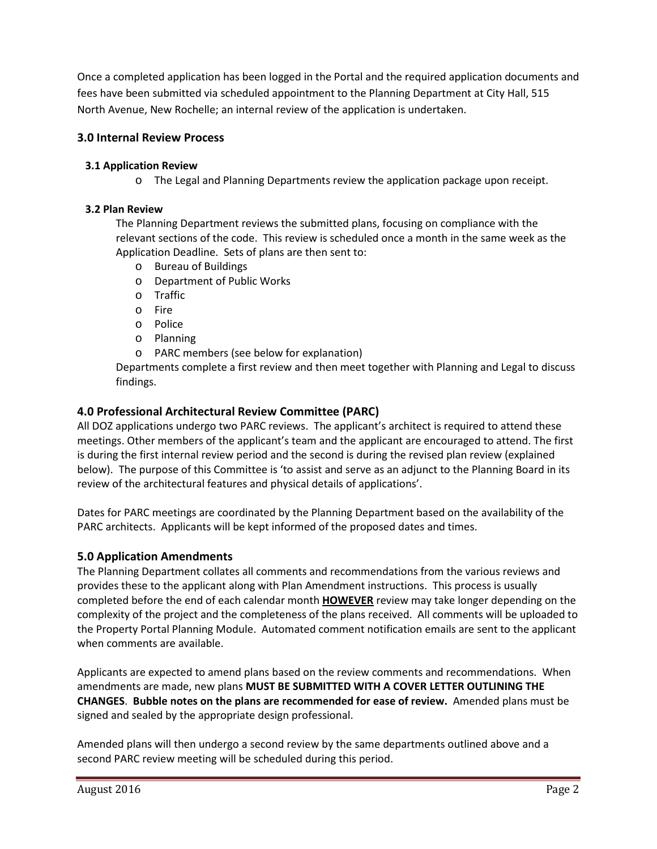Once a completed application has been logged in the Portal and the required application documents and fees have been submitted via scheduled appointment to the Planning Department at City Hall, 515 North Avenue, New Rochelle; an internal review of the application is undertaken.

# **3.0 Internal Review Process**

## **3.1 Application Review**

o The Legal and Planning Departments review the application package upon receipt.

### **3.2 Plan Review**

The Planning Department reviews the submitted plans, focusing on compliance with the relevant sections of the code. This review is scheduled once a month in the same week as the Application Deadline. Sets of plans are then sent to:

- o Bureau of Buildings
- o Department of Public Works
- o Traffic
- o Fire
- o Police
- o Planning
- o PARC members (see below for explanation)

Departments complete a first review and then meet together with Planning and Legal to discuss findings.

# **4.0 Professional Architectural Review Committee (PARC)**

All DOZ applications undergo two PARC reviews. The applicant's architect is required to attend these meetings. Other members of the applicant's team and the applicant are encouraged to attend. The first is during the first internal review period and the second is during the revised plan review (explained below). The purpose of this Committee is 'to assist and serve as an adjunct to the Planning Board in its review of the architectural features and physical details of applications'.

Dates for PARC meetings are coordinated by the Planning Department based on the availability of the PARC architects. Applicants will be kept informed of the proposed dates and times.

# **5.0 Application Amendments**

The Planning Department collates all comments and recommendations from the various reviews and provides these to the applicant along with Plan Amendment instructions. This process is usually completed before the end of each calendar month **HOWEVER** review may take longer depending on the complexity of the project and the completeness of the plans received. All comments will be uploaded to the Property Portal Planning Module. Automated comment notification emails are sent to the applicant when comments are available.

Applicants are expected to amend plans based on the review comments and recommendations. When amendments are made, new plans **MUST BE SUBMITTED WITH A COVER LETTER OUTLINING THE CHANGES**. **Bubble notes on the plans are recommended for ease of review.** Amended plans must be signed and sealed by the appropriate design professional.

Amended plans will then undergo a second review by the same departments outlined above and a second PARC review meeting will be scheduled during this period.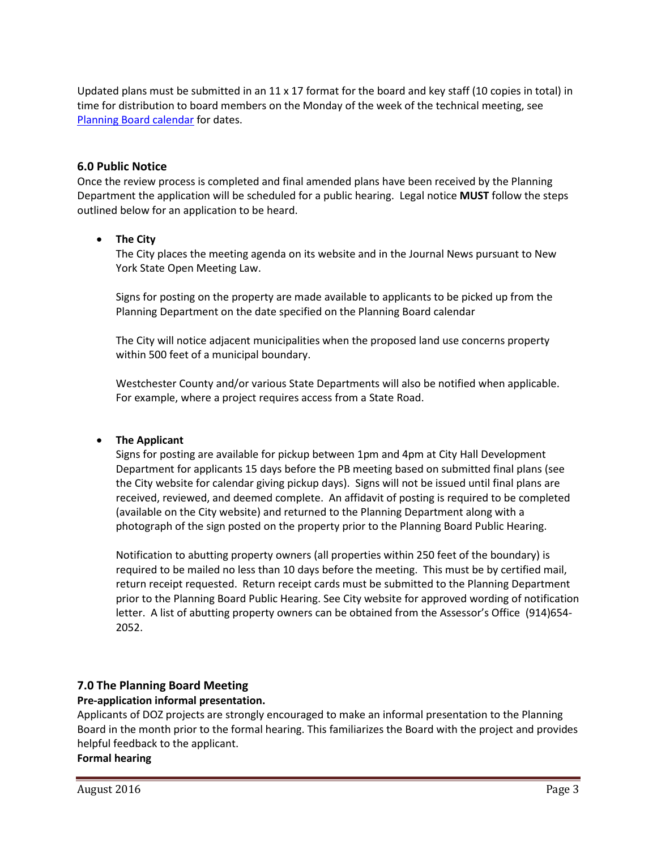Updated plans must be submitted in an  $11 \times 17$  format for the board and key staff (10 copies in total) in time for distribution to board members on the Monday of the week of the technical meeting, see [Planning Board calendar](http://www.newrochelleny.com/DocumentCenter/View/6796/PB-Calendar-2018) for dates.

#### **6.0 Public Notice**

Once the review process is completed and final amended plans have been received by the Planning Department the application will be scheduled for a public hearing. Legal notice **MUST** follow the steps outlined below for an application to be heard.

#### • **The City**

The City places the meeting agenda on its website and in the Journal News pursuant to New York State Open Meeting Law.

Signs for posting on the property are made available to applicants to be picked up from the Planning Department on the date specified on the Planning Board calendar

The City will notice adjacent municipalities when the proposed land use concerns property within 500 feet of a municipal boundary.

Westchester County and/or various State Departments will also be notified when applicable. For example, where a project requires access from a State Road.

#### • **The Applicant**

Signs for posting are available for pickup between 1pm and 4pm at City Hall Development Department for applicants 15 days before the PB meeting based on submitted final plans (see the City website for calendar giving pickup days). Signs will not be issued until final plans are received, reviewed, and deemed complete. An affidavit of posting is required to be completed (available on the City website) and returned to the Planning Department along with a photograph of the sign posted on the property prior to the Planning Board Public Hearing.

Notification to abutting property owners (all properties within 250 feet of the boundary) is required to be mailed no less than 10 days before the meeting. This must be by certified mail, return receipt requested. Return receipt cards must be submitted to the Planning Department prior to the Planning Board Public Hearing. See City website for approved wording of notification letter. A list of abutting property owners can be obtained from the Assessor's Office (914)654- 2052.

### **7.0 The Planning Board Meeting**

#### **Pre-application informal presentation.**

Applicants of DOZ projects are strongly encouraged to make an informal presentation to the Planning Board in the month prior to the formal hearing. This familiarizes the Board with the project and provides helpful feedback to the applicant.

**Formal hearing**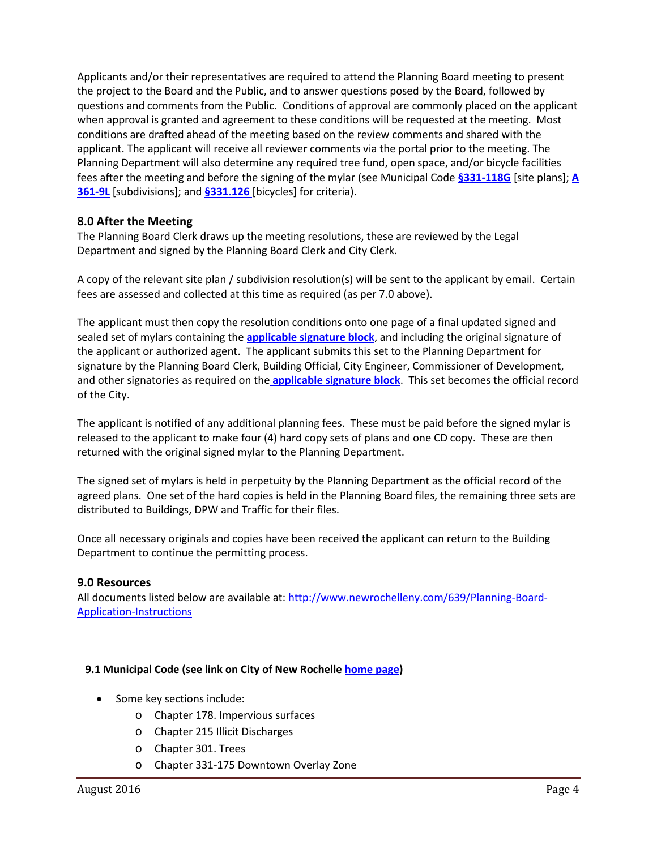Applicants and/or their representatives are required to attend the Planning Board meeting to present the project to the Board and the Public, and to answer questions posed by the Board, followed by questions and comments from the Public. Conditions of approval are commonly placed on the applicant when approval is granted and agreement to these conditions will be requested at the meeting. Most conditions are drafted ahead of the meeting based on the review comments and shared with the applicant. The applicant will receive all reviewer comments via the portal prior to the meeting. The Planning Department will also determine any required tree fund, open space, and/or bicycle facilities fees after the meeting and before the signing of the mylar (see Municipal Code **[§331-118G](http://ecode360.com/6732287)** [site plans]; **[A](http://ecode360.com/6738477?highlight=subdivisions,subdivision#6738477)  [361-9L](http://ecode360.com/6738477?highlight=subdivisions,subdivision#6738477)** [subdivisions]; and **[§331.126](http://ecode360.com/13660279?highlight=bicycles,bicycle#13660279)** [bicycles] for criteria).

## **8.0 After the Meeting**

The Planning Board Clerk draws up the meeting resolutions, these are reviewed by the Legal Department and signed by the Planning Board Clerk and City Clerk.

A copy of the relevant site plan / subdivision resolution(s) will be sent to the applicant by email. Certain fees are assessed and collected at this time as required (as per 7.0 above).

The applicant must then copy the resolution conditions onto one page of a final updated signed and sealed set of mylars containing the **[applicable signature block](http://newrochelleny.com/index.aspx?NID=639)**, and including the original signature of the applicant or authorized agent. The applicant submits this set to the Planning Department for signature by the Planning Board Clerk, Building Official, City Engineer, Commissioner of Development, and other signatories as required on the **[applicable signature block](http://newrochelleny.com/index.aspx?NID=639)**. This set becomes the official record of the City.

The applicant is notified of any additional planning fees. These must be paid before the signed mylar is released to the applicant to make four (4) hard copy sets of plans and one CD copy. These are then returned with the original signed mylar to the Planning Department.

The signed set of mylars is held in perpetuity by the Planning Department as the official record of the agreed plans. One set of the hard copies is held in the Planning Board files, the remaining three sets are distributed to Buildings, DPW and Traffic for their files.

Once all necessary originals and copies have been received the applicant can return to the Building Department to continue the permitting process.

### **9.0 Resources**

All documents listed below are available at[: http://www.newrochelleny.com/639/Planning-Board-](http://www.newrochelleny.com/639/Planning-Board-Application-Instructions)[Application-Instructions](http://www.newrochelleny.com/639/Planning-Board-Application-Instructions)

#### **9.1 Municipal Code (see link on City of New Rochelle [home page\)](http://www.newrochelleny.com/)**

- Some key sections include:
	- o Chapter 178. Impervious surfaces
	- o Chapter 215 Illicit Discharges
	- o Chapter 301. Trees
	- o Chapter 331-175 Downtown Overlay Zone